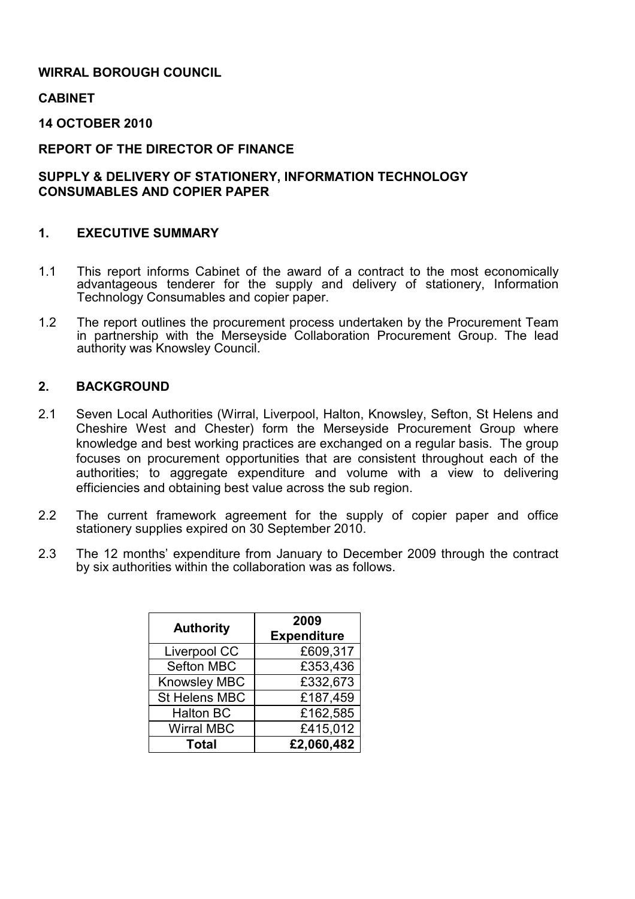## WIRRAL BOROUGH COUNCIL

CABINET

14 OCTOBER 2010

REPORT OF THE DIRECTOR OF FINANCE

### SUPPLY & DELIVERY OF STATIONERY, INFORMATION TECHNOLOGY CONSUMABLES AND COPIER PAPER

#### 1. EXECUTIVE SUMMARY

- 1.1 This report informs Cabinet of the award of a contract to the most economically advantageous tenderer for the supply and delivery of stationery, Information Technology Consumables and copier paper.
- 1.2 The report outlines the procurement process undertaken by the Procurement Team in partnership with the Merseyside Collaboration Procurement Group. The lead authority was Knowsley Council.

#### 2. BACKGROUND

- 2.1 Seven Local Authorities (Wirral, Liverpool, Halton, Knowsley, Sefton, St Helens and Cheshire West and Chester) form the Merseyside Procurement Group where knowledge and best working practices are exchanged on a regular basis. The group focuses on procurement opportunities that are consistent throughout each of the authorities; to aggregate expenditure and volume with a view to delivering efficiencies and obtaining best value across the sub region.
- 2.2 The current framework agreement for the supply of copier paper and office stationery supplies expired on 30 September 2010.
- 2.3 The 12 months' expenditure from January to December 2009 through the contract by six authorities within the collaboration was as follows.

| <b>Authority</b>    | 2009<br><b>Expenditure</b> |
|---------------------|----------------------------|
| Liverpool CC        | £609,317                   |
| Sefton MBC          | £353,436                   |
| <b>Knowsley MBC</b> | £332,673                   |
| St Helens MBC       | £187,459                   |
| <b>Halton BC</b>    | £162,585                   |
| <b>Wirral MBC</b>   | £415,012                   |
| <b>Total</b>        | £2,060,482                 |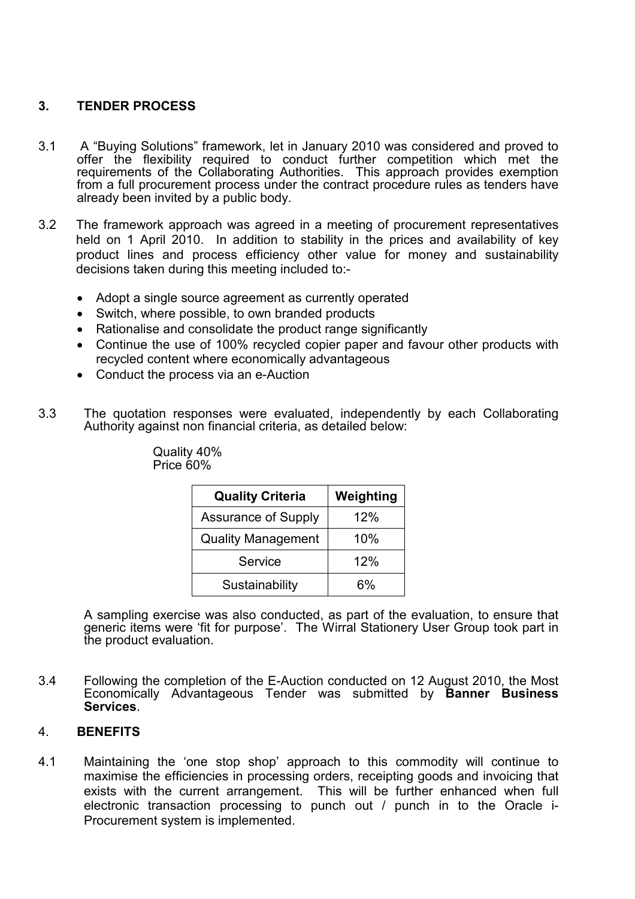# 3. TENDER PROCESS

- 3.1 A "Buying Solutions" framework, let in January 2010 was considered and proved to offer the flexibility required to conduct further competition which met the requirements of the Collaborating Authorities. This approach provides exemption from a full procurement process under the contract procedure rules as tenders have already been invited by a public body.
- 3.2 The framework approach was agreed in a meeting of procurement representatives held on 1 April 2010. In addition to stability in the prices and availability of key product lines and process efficiency other value for money and sustainability decisions taken during this meeting included to:-
	- Adopt a single source agreement as currently operated
	- Switch, where possible, to own branded products
	- Rationalise and consolidate the product range significantly
	- Continue the use of 100% recycled copier paper and favour other products with recycled content where economically advantageous
	- Conduct the process via an e-Auction
- 3.3 The quotation responses were evaluated, independently by each Collaborating Authority against non financial criteria, as detailed below:

| <b>Quality Criteria</b>    | Weighting |  |
|----------------------------|-----------|--|
| <b>Assurance of Supply</b> | 12%       |  |
| <b>Quality Management</b>  | 10%       |  |
| Service                    | 12%       |  |
| Sustainability             | 6%        |  |

Quality 40% Price 60%

 A sampling exercise was also conducted, as part of the evaluation, to ensure that generic items were 'fit for purpose'. The Wirral Stationery User Group took part in the product evaluation.

3.4 Following the completion of the E-Auction conducted on 12 August 2010, the Most Economically Advantageous Tender was submitted by Banner Business Services.

#### 4. BENEFITS

4.1 Maintaining the 'one stop shop' approach to this commodity will continue to maximise the efficiencies in processing orders, receipting goods and invoicing that exists with the current arrangement. This will be further enhanced when full electronic transaction processing to punch out / punch in to the Oracle i-Procurement system is implemented.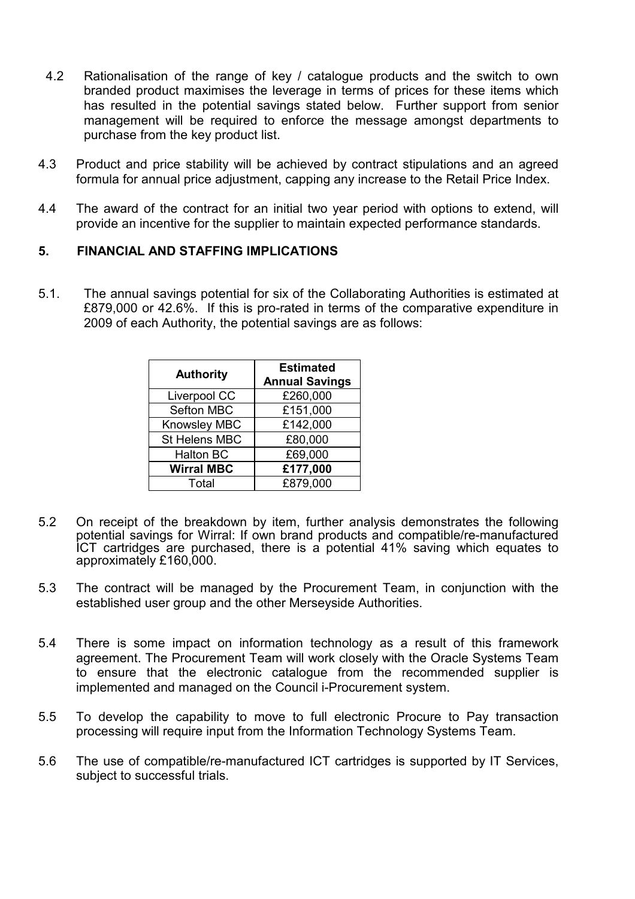- 4.2 Rationalisation of the range of key / catalogue products and the switch to own branded product maximises the leverage in terms of prices for these items which has resulted in the potential savings stated below. Further support from senior management will be required to enforce the message amongst departments to purchase from the key product list.
- 4.3 Product and price stability will be achieved by contract stipulations and an agreed formula for annual price adjustment, capping any increase to the Retail Price Index.
- 4.4 The award of the contract for an initial two year period with options to extend, will provide an incentive for the supplier to maintain expected performance standards.

#### 5. FINANCIAL AND STAFFING IMPLICATIONS

5.1. The annual savings potential for six of the Collaborating Authorities is estimated at £879,000 or 42.6%. If this is pro-rated in terms of the comparative expenditure in 2009 of each Authority, the potential savings are as follows:

| <b>Authority</b>  | <b>Estimated</b><br><b>Annual Savings</b> |
|-------------------|-------------------------------------------|
| Liverpool CC      | £260,000                                  |
| Sefton MBC        | £151,000                                  |
| Knowsley MBC      | £142,000                                  |
| St Helens MBC     | £80,000                                   |
| <b>Halton BC</b>  | £69,000                                   |
| <b>Wirral MBC</b> | £177,000                                  |
| Total             | £879,000                                  |

- 5.2 On receipt of the breakdown by item, further analysis demonstrates the following potential savings for Wirral: If own brand products and compatible/re-manufactured ICT cartridges are purchased, there is a potential 41% saving which equates to approximately £160,000.
- 5.3 The contract will be managed by the Procurement Team, in conjunction with the established user group and the other Merseyside Authorities.
- 5.4 There is some impact on information technology as a result of this framework agreement. The Procurement Team will work closely with the Oracle Systems Team to ensure that the electronic catalogue from the recommended supplier is implemented and managed on the Council i-Procurement system.
- 5.5 To develop the capability to move to full electronic Procure to Pay transaction processing will require input from the Information Technology Systems Team.
- 5.6 The use of compatible/re-manufactured ICT cartridges is supported by IT Services, subject to successful trials.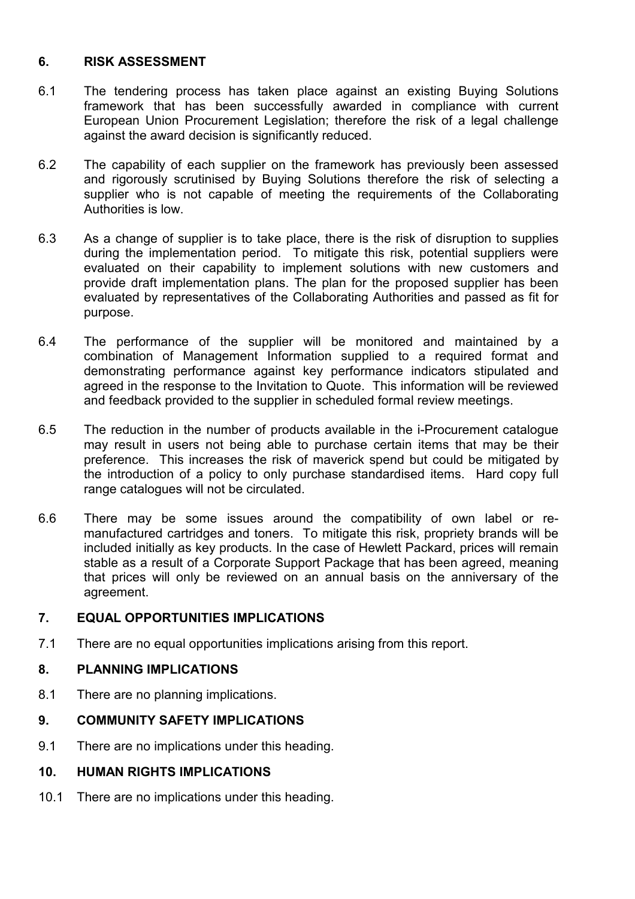### 6. RISK ASSESSMENT

- 6.1 The tendering process has taken place against an existing Buying Solutions framework that has been successfully awarded in compliance with current European Union Procurement Legislation; therefore the risk of a legal challenge against the award decision is significantly reduced.
- 6.2 The capability of each supplier on the framework has previously been assessed and rigorously scrutinised by Buying Solutions therefore the risk of selecting a supplier who is not capable of meeting the requirements of the Collaborating Authorities is low.
- 6.3 As a change of supplier is to take place, there is the risk of disruption to supplies during the implementation period. To mitigate this risk, potential suppliers were evaluated on their capability to implement solutions with new customers and provide draft implementation plans. The plan for the proposed supplier has been evaluated by representatives of the Collaborating Authorities and passed as fit for purpose.
- 6.4 The performance of the supplier will be monitored and maintained by a combination of Management Information supplied to a required format and demonstrating performance against key performance indicators stipulated and agreed in the response to the Invitation to Quote. This information will be reviewed and feedback provided to the supplier in scheduled formal review meetings.
- 6.5 The reduction in the number of products available in the i-Procurement catalogue may result in users not being able to purchase certain items that may be their preference. This increases the risk of maverick spend but could be mitigated by the introduction of a policy to only purchase standardised items. Hard copy full range catalogues will not be circulated.
- 6.6 There may be some issues around the compatibility of own label or remanufactured cartridges and toners. To mitigate this risk, propriety brands will be included initially as key products. In the case of Hewlett Packard, prices will remain stable as a result of a Corporate Support Package that has been agreed, meaning that prices will only be reviewed on an annual basis on the anniversary of the agreement.

### 7. EQUAL OPPORTUNITIES IMPLICATIONS

7.1 There are no equal opportunities implications arising from this report.

# 8. PLANNING IMPLICATIONS

8.1 There are no planning implications.

# 9. COMMUNITY SAFETY IMPLICATIONS

9.1 There are no implications under this heading.

# 10. HUMAN RIGHTS IMPLICATIONS

10.1 There are no implications under this heading.